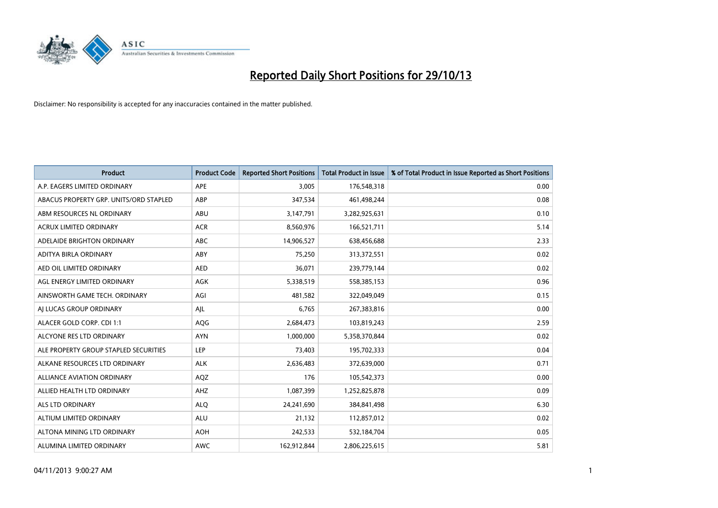

| <b>Product</b>                         | <b>Product Code</b> | <b>Reported Short Positions</b> | <b>Total Product in Issue</b> | % of Total Product in Issue Reported as Short Positions |
|----------------------------------------|---------------------|---------------------------------|-------------------------------|---------------------------------------------------------|
| A.P. EAGERS LIMITED ORDINARY           | APE                 | 3,005                           | 176,548,318                   | 0.00                                                    |
| ABACUS PROPERTY GRP. UNITS/ORD STAPLED | ABP                 | 347,534                         | 461,498,244                   | 0.08                                                    |
| ABM RESOURCES NL ORDINARY              | ABU                 | 3,147,791                       | 3,282,925,631                 | 0.10                                                    |
| ACRUX LIMITED ORDINARY                 | <b>ACR</b>          | 8,560,976                       | 166,521,711                   | 5.14                                                    |
| ADELAIDE BRIGHTON ORDINARY             | <b>ABC</b>          | 14,906,527                      | 638,456,688                   | 2.33                                                    |
| ADITYA BIRLA ORDINARY                  | ABY                 | 75,250                          | 313,372,551                   | 0.02                                                    |
| AED OIL LIMITED ORDINARY               | <b>AED</b>          | 36.071                          | 239,779,144                   | 0.02                                                    |
| AGL ENERGY LIMITED ORDINARY            | AGK                 | 5,338,519                       | 558,385,153                   | 0.96                                                    |
| AINSWORTH GAME TECH. ORDINARY          | AGI                 | 481,582                         | 322,049,049                   | 0.15                                                    |
| AI LUCAS GROUP ORDINARY                | AJL                 | 6,765                           | 267,383,816                   | 0.00                                                    |
| ALACER GOLD CORP. CDI 1:1              | AQG                 | 2,684,473                       | 103,819,243                   | 2.59                                                    |
| ALCYONE RES LTD ORDINARY               | <b>AYN</b>          | 1,000,000                       | 5,358,370,844                 | 0.02                                                    |
| ALE PROPERTY GROUP STAPLED SECURITIES  | LEP                 | 73,403                          | 195,702,333                   | 0.04                                                    |
| ALKANE RESOURCES LTD ORDINARY          | <b>ALK</b>          | 2,636,483                       | 372,639,000                   | 0.71                                                    |
| ALLIANCE AVIATION ORDINARY             | AQZ                 | 176                             | 105,542,373                   | 0.00                                                    |
| ALLIED HEALTH LTD ORDINARY             | AHZ                 | 1,087,399                       | 1,252,825,878                 | 0.09                                                    |
| ALS LTD ORDINARY                       | <b>ALQ</b>          | 24,241,690                      | 384, 841, 498                 | 6.30                                                    |
| ALTIUM LIMITED ORDINARY                | <b>ALU</b>          | 21,132                          | 112,857,012                   | 0.02                                                    |
| ALTONA MINING LTD ORDINARY             | <b>AOH</b>          | 242,533                         | 532,184,704                   | 0.05                                                    |
| ALUMINA LIMITED ORDINARY               | <b>AWC</b>          | 162,912,844                     | 2,806,225,615                 | 5.81                                                    |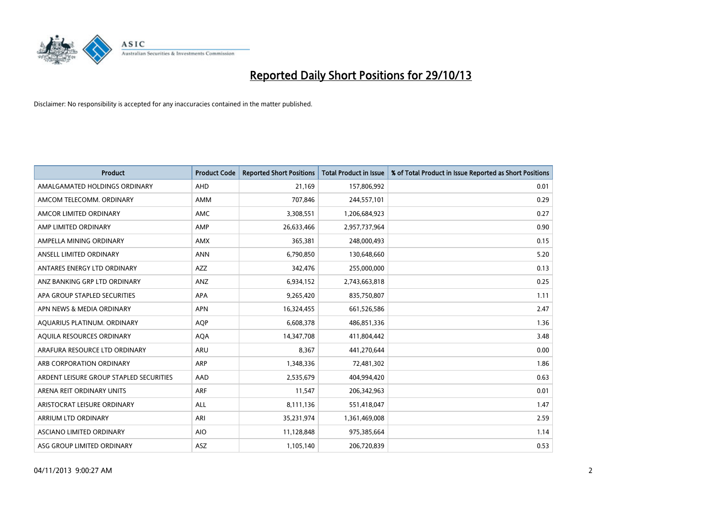

| <b>Product</b>                          | <b>Product Code</b> | <b>Reported Short Positions</b> | <b>Total Product in Issue</b> | % of Total Product in Issue Reported as Short Positions |
|-----------------------------------------|---------------------|---------------------------------|-------------------------------|---------------------------------------------------------|
| AMALGAMATED HOLDINGS ORDINARY           | AHD                 | 21,169                          | 157,806,992                   | 0.01                                                    |
| AMCOM TELECOMM, ORDINARY                | AMM                 | 707,846                         | 244,557,101                   | 0.29                                                    |
| AMCOR LIMITED ORDINARY                  | AMC                 | 3,308,551                       | 1,206,684,923                 | 0.27                                                    |
| AMP LIMITED ORDINARY                    | AMP                 | 26,633,466                      | 2,957,737,964                 | 0.90                                                    |
| AMPELLA MINING ORDINARY                 | AMX                 | 365,381                         | 248,000,493                   | 0.15                                                    |
| ANSELL LIMITED ORDINARY                 | <b>ANN</b>          | 6,790,850                       | 130,648,660                   | 5.20                                                    |
| ANTARES ENERGY LTD ORDINARY             | AZZ                 | 342,476                         | 255,000,000                   | 0.13                                                    |
| ANZ BANKING GRP LTD ORDINARY            | ANZ                 | 6,934,152                       | 2,743,663,818                 | 0.25                                                    |
| APA GROUP STAPLED SECURITIES            | APA                 | 9,265,420                       | 835,750,807                   | 1.11                                                    |
| APN NEWS & MEDIA ORDINARY               | <b>APN</b>          | 16,324,455                      | 661,526,586                   | 2.47                                                    |
| AQUARIUS PLATINUM. ORDINARY             | AQP                 | 6,608,378                       | 486,851,336                   | 1.36                                                    |
| AQUILA RESOURCES ORDINARY               | <b>AQA</b>          | 14,347,708                      | 411,804,442                   | 3.48                                                    |
| ARAFURA RESOURCE LTD ORDINARY           | <b>ARU</b>          | 8,367                           | 441,270,644                   | 0.00                                                    |
| ARB CORPORATION ORDINARY                | ARP                 | 1,348,336                       | 72,481,302                    | 1.86                                                    |
| ARDENT LEISURE GROUP STAPLED SECURITIES | AAD                 | 2,535,679                       | 404,994,420                   | 0.63                                                    |
| ARENA REIT ORDINARY UNITS               | <b>ARF</b>          | 11,547                          | 206,342,963                   | 0.01                                                    |
| ARISTOCRAT LEISURE ORDINARY             | ALL                 | 8,111,136                       | 551,418,047                   | 1.47                                                    |
| ARRIUM LTD ORDINARY                     | ARI                 | 35,231,974                      | 1,361,469,008                 | 2.59                                                    |
| ASCIANO LIMITED ORDINARY                | <b>AIO</b>          | 11,128,848                      | 975,385,664                   | 1.14                                                    |
| ASG GROUP LIMITED ORDINARY              | ASZ                 | 1,105,140                       | 206,720,839                   | 0.53                                                    |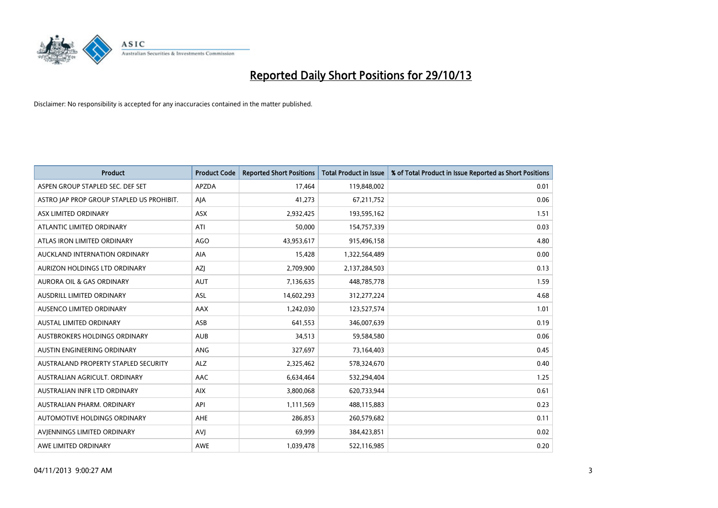

| <b>Product</b>                            | <b>Product Code</b> | <b>Reported Short Positions</b> | <b>Total Product in Issue</b> | % of Total Product in Issue Reported as Short Positions |
|-------------------------------------------|---------------------|---------------------------------|-------------------------------|---------------------------------------------------------|
| ASPEN GROUP STAPLED SEC. DEF SET          | <b>APZDA</b>        | 17,464                          | 119,848,002                   | 0.01                                                    |
| ASTRO JAP PROP GROUP STAPLED US PROHIBIT. | AJA                 | 41,273                          | 67,211,752                    | 0.06                                                    |
| ASX LIMITED ORDINARY                      | <b>ASX</b>          | 2,932,425                       | 193,595,162                   | 1.51                                                    |
| ATLANTIC LIMITED ORDINARY                 | ATI                 | 50,000                          | 154,757,339                   | 0.03                                                    |
| ATLAS IRON LIMITED ORDINARY               | <b>AGO</b>          | 43,953,617                      | 915,496,158                   | 4.80                                                    |
| AUCKLAND INTERNATION ORDINARY             | <b>AIA</b>          | 15,428                          | 1,322,564,489                 | 0.00                                                    |
| AURIZON HOLDINGS LTD ORDINARY             | AZJ                 | 2,709,900                       | 2,137,284,503                 | 0.13                                                    |
| AURORA OIL & GAS ORDINARY                 | AUT                 | 7,136,635                       | 448,785,778                   | 1.59                                                    |
| AUSDRILL LIMITED ORDINARY                 | ASL                 | 14,602,293                      | 312,277,224                   | 4.68                                                    |
| AUSENCO LIMITED ORDINARY                  | AAX                 | 1,242,030                       | 123,527,574                   | 1.01                                                    |
| AUSTAL LIMITED ORDINARY                   | ASB                 | 641,553                         | 346,007,639                   | 0.19                                                    |
| <b>AUSTBROKERS HOLDINGS ORDINARY</b>      | <b>AUB</b>          | 34,513                          | 59,584,580                    | 0.06                                                    |
| AUSTIN ENGINEERING ORDINARY               | ANG                 | 327,697                         | 73,164,403                    | 0.45                                                    |
| AUSTRALAND PROPERTY STAPLED SECURITY      | <b>ALZ</b>          | 2,325,462                       | 578,324,670                   | 0.40                                                    |
| AUSTRALIAN AGRICULT, ORDINARY             | AAC                 | 6,634,464                       | 532,294,404                   | 1.25                                                    |
| AUSTRALIAN INFR LTD ORDINARY              | <b>AIX</b>          | 3,800,068                       | 620,733,944                   | 0.61                                                    |
| AUSTRALIAN PHARM. ORDINARY                | API                 | 1,111,569                       | 488,115,883                   | 0.23                                                    |
| AUTOMOTIVE HOLDINGS ORDINARY              | <b>AHE</b>          | 286,853                         | 260,579,682                   | 0.11                                                    |
| AVIENNINGS LIMITED ORDINARY               | <b>AVI</b>          | 69,999                          | 384,423,851                   | 0.02                                                    |
| AWE LIMITED ORDINARY                      | AWE                 | 1,039,478                       | 522,116,985                   | 0.20                                                    |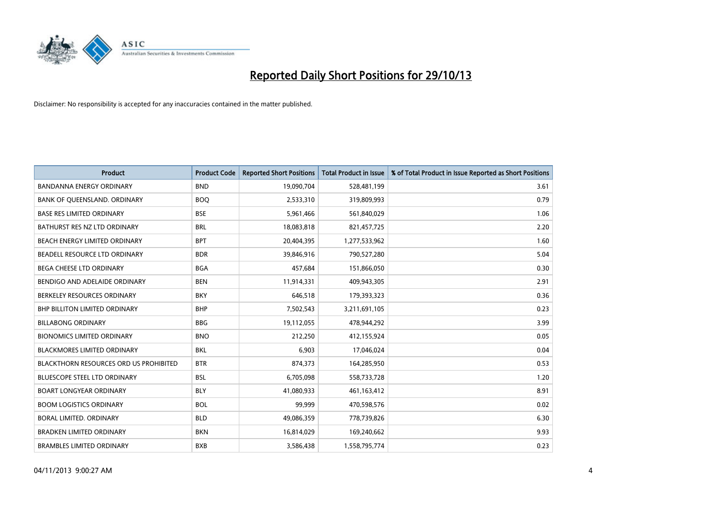

| <b>Product</b>                                | <b>Product Code</b> | <b>Reported Short Positions</b> | <b>Total Product in Issue</b> | % of Total Product in Issue Reported as Short Positions |
|-----------------------------------------------|---------------------|---------------------------------|-------------------------------|---------------------------------------------------------|
| <b>BANDANNA ENERGY ORDINARY</b>               | <b>BND</b>          | 19,090,704                      | 528,481,199                   | 3.61                                                    |
| BANK OF QUEENSLAND. ORDINARY                  | <b>BOQ</b>          | 2,533,310                       | 319,809,993                   | 0.79                                                    |
| <b>BASE RES LIMITED ORDINARY</b>              | <b>BSE</b>          | 5,961,466                       | 561,840,029                   | 1.06                                                    |
| BATHURST RES NZ LTD ORDINARY                  | <b>BRL</b>          | 18,083,818                      | 821,457,725                   | 2.20                                                    |
| BEACH ENERGY LIMITED ORDINARY                 | <b>BPT</b>          | 20,404,395                      | 1,277,533,962                 | 1.60                                                    |
| BEADELL RESOURCE LTD ORDINARY                 | <b>BDR</b>          | 39,846,916                      | 790,527,280                   | 5.04                                                    |
| <b>BEGA CHEESE LTD ORDINARY</b>               | <b>BGA</b>          | 457,684                         | 151,866,050                   | 0.30                                                    |
| BENDIGO AND ADELAIDE ORDINARY                 | <b>BEN</b>          | 11,914,331                      | 409,943,305                   | 2.91                                                    |
| BERKELEY RESOURCES ORDINARY                   | <b>BKY</b>          | 646,518                         | 179,393,323                   | 0.36                                                    |
| <b>BHP BILLITON LIMITED ORDINARY</b>          | <b>BHP</b>          | 7,502,543                       | 3,211,691,105                 | 0.23                                                    |
| <b>BILLABONG ORDINARY</b>                     | <b>BBG</b>          | 19,112,055                      | 478,944,292                   | 3.99                                                    |
| <b>BIONOMICS LIMITED ORDINARY</b>             | <b>BNO</b>          | 212,250                         | 412,155,924                   | 0.05                                                    |
| <b>BLACKMORES LIMITED ORDINARY</b>            | <b>BKL</b>          | 6,903                           | 17,046,024                    | 0.04                                                    |
| <b>BLACKTHORN RESOURCES ORD US PROHIBITED</b> | <b>BTR</b>          | 874,373                         | 164,285,950                   | 0.53                                                    |
| <b>BLUESCOPE STEEL LTD ORDINARY</b>           | <b>BSL</b>          | 6,705,098                       | 558,733,728                   | 1.20                                                    |
| <b>BOART LONGYEAR ORDINARY</b>                | <b>BLY</b>          | 41,080,933                      | 461,163,412                   | 8.91                                                    |
| <b>BOOM LOGISTICS ORDINARY</b>                | <b>BOL</b>          | 99,999                          | 470,598,576                   | 0.02                                                    |
| <b>BORAL LIMITED, ORDINARY</b>                | <b>BLD</b>          | 49,086,359                      | 778,739,826                   | 6.30                                                    |
| <b>BRADKEN LIMITED ORDINARY</b>               | <b>BKN</b>          | 16,814,029                      | 169,240,662                   | 9.93                                                    |
| <b>BRAMBLES LIMITED ORDINARY</b>              | <b>BXB</b>          | 3,586,438                       | 1,558,795,774                 | 0.23                                                    |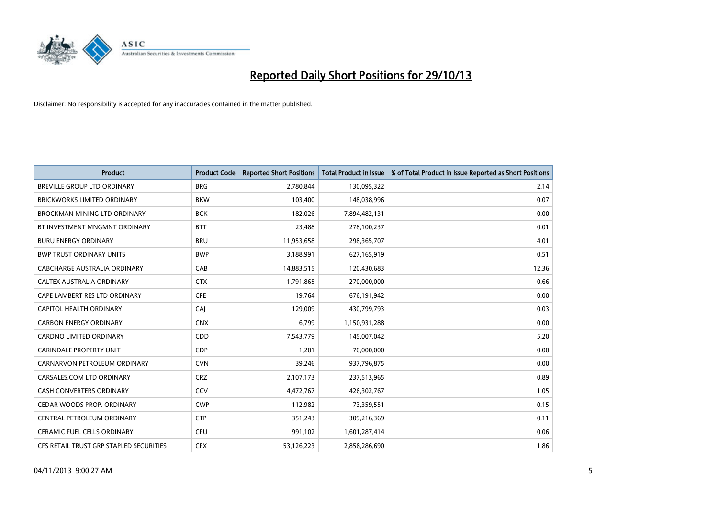

| <b>Product</b>                          | <b>Product Code</b> | <b>Reported Short Positions</b> | <b>Total Product in Issue</b> | % of Total Product in Issue Reported as Short Positions |
|-----------------------------------------|---------------------|---------------------------------|-------------------------------|---------------------------------------------------------|
| <b>BREVILLE GROUP LTD ORDINARY</b>      | <b>BRG</b>          | 2,780,844                       | 130,095,322                   | 2.14                                                    |
| <b>BRICKWORKS LIMITED ORDINARY</b>      | <b>BKW</b>          | 103,400                         | 148,038,996                   | 0.07                                                    |
| <b>BROCKMAN MINING LTD ORDINARY</b>     | <b>BCK</b>          | 182,026                         | 7,894,482,131                 | 0.00                                                    |
| BT INVESTMENT MNGMNT ORDINARY           | <b>BTT</b>          | 23,488                          | 278,100,237                   | 0.01                                                    |
| <b>BURU ENERGY ORDINARY</b>             | <b>BRU</b>          | 11,953,658                      | 298,365,707                   | 4.01                                                    |
| <b>BWP TRUST ORDINARY UNITS</b>         | <b>BWP</b>          | 3,188,991                       | 627,165,919                   | 0.51                                                    |
| <b>CABCHARGE AUSTRALIA ORDINARY</b>     | CAB                 | 14,883,515                      | 120,430,683                   | 12.36                                                   |
| CALTEX AUSTRALIA ORDINARY               | <b>CTX</b>          | 1,791,865                       | 270,000,000                   | 0.66                                                    |
| CAPE LAMBERT RES LTD ORDINARY           | <b>CFE</b>          | 19,764                          | 676,191,942                   | 0.00                                                    |
| <b>CAPITOL HEALTH ORDINARY</b>          | CAI                 | 129,009                         | 430,799,793                   | 0.03                                                    |
| <b>CARBON ENERGY ORDINARY</b>           | <b>CNX</b>          | 6,799                           | 1,150,931,288                 | 0.00                                                    |
| <b>CARDNO LIMITED ORDINARY</b>          | CDD                 | 7,543,779                       | 145,007,042                   | 5.20                                                    |
| <b>CARINDALE PROPERTY UNIT</b>          | <b>CDP</b>          | 1,201                           | 70,000,000                    | 0.00                                                    |
| CARNARVON PETROLEUM ORDINARY            | <b>CVN</b>          | 39,246                          | 937,796,875                   | 0.00                                                    |
| CARSALES.COM LTD ORDINARY               | <b>CRZ</b>          | 2,107,173                       | 237,513,965                   | 0.89                                                    |
| CASH CONVERTERS ORDINARY                | CCV                 | 4,472,767                       | 426,302,767                   | 1.05                                                    |
| CEDAR WOODS PROP. ORDINARY              | <b>CWP</b>          | 112,982                         | 73,359,551                    | 0.15                                                    |
| CENTRAL PETROLEUM ORDINARY              | <b>CTP</b>          | 351,243                         | 309,216,369                   | 0.11                                                    |
| <b>CERAMIC FUEL CELLS ORDINARY</b>      | <b>CFU</b>          | 991,102                         | 1,601,287,414                 | 0.06                                                    |
| CFS RETAIL TRUST GRP STAPLED SECURITIES | <b>CFX</b>          | 53,126,223                      | 2,858,286,690                 | 1.86                                                    |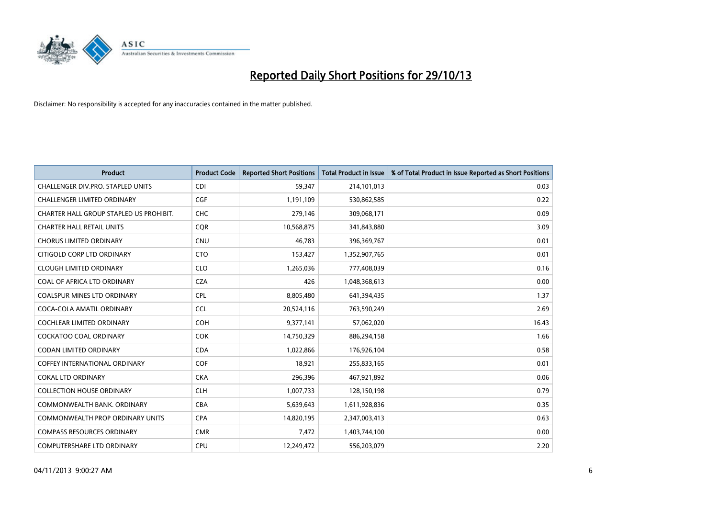

| <b>Product</b>                          | <b>Product Code</b> | <b>Reported Short Positions</b> | <b>Total Product in Issue</b> | % of Total Product in Issue Reported as Short Positions |
|-----------------------------------------|---------------------|---------------------------------|-------------------------------|---------------------------------------------------------|
| CHALLENGER DIV.PRO. STAPLED UNITS       | <b>CDI</b>          | 59,347                          | 214,101,013                   | 0.03                                                    |
| <b>CHALLENGER LIMITED ORDINARY</b>      | <b>CGF</b>          | 1,191,109                       | 530,862,585                   | 0.22                                                    |
| CHARTER HALL GROUP STAPLED US PROHIBIT. | <b>CHC</b>          | 279,146                         | 309,068,171                   | 0.09                                                    |
| <b>CHARTER HALL RETAIL UNITS</b>        | <b>COR</b>          | 10,568,875                      | 341,843,880                   | 3.09                                                    |
| <b>CHORUS LIMITED ORDINARY</b>          | <b>CNU</b>          | 46,783                          | 396,369,767                   | 0.01                                                    |
| CITIGOLD CORP LTD ORDINARY              | <b>CTO</b>          | 153,427                         | 1,352,907,765                 | 0.01                                                    |
| <b>CLOUGH LIMITED ORDINARY</b>          | <b>CLO</b>          | 1,265,036                       | 777,408,039                   | 0.16                                                    |
| COAL OF AFRICA LTD ORDINARY             | <b>CZA</b>          | 426                             | 1,048,368,613                 | 0.00                                                    |
| <b>COALSPUR MINES LTD ORDINARY</b>      | <b>CPL</b>          | 8,805,480                       | 641,394,435                   | 1.37                                                    |
| COCA-COLA AMATIL ORDINARY               | <b>CCL</b>          | 20,524,116                      | 763,590,249                   | 2.69                                                    |
| COCHLEAR LIMITED ORDINARY               | <b>COH</b>          | 9,377,141                       | 57,062,020                    | 16.43                                                   |
| <b>COCKATOO COAL ORDINARY</b>           | <b>COK</b>          | 14,750,329                      | 886,294,158                   | 1.66                                                    |
| <b>CODAN LIMITED ORDINARY</b>           | <b>CDA</b>          | 1,022,866                       | 176,926,104                   | 0.58                                                    |
| <b>COFFEY INTERNATIONAL ORDINARY</b>    | <b>COF</b>          | 18,921                          | 255,833,165                   | 0.01                                                    |
| <b>COKAL LTD ORDINARY</b>               | <b>CKA</b>          | 296,396                         | 467,921,892                   | 0.06                                                    |
| <b>COLLECTION HOUSE ORDINARY</b>        | <b>CLH</b>          | 1,007,733                       | 128,150,198                   | 0.79                                                    |
| COMMONWEALTH BANK, ORDINARY             | <b>CBA</b>          | 5,639,643                       | 1,611,928,836                 | 0.35                                                    |
| <b>COMMONWEALTH PROP ORDINARY UNITS</b> | <b>CPA</b>          | 14,820,195                      | 2,347,003,413                 | 0.63                                                    |
| <b>COMPASS RESOURCES ORDINARY</b>       | <b>CMR</b>          | 7,472                           | 1,403,744,100                 | 0.00                                                    |
| <b>COMPUTERSHARE LTD ORDINARY</b>       | <b>CPU</b>          | 12,249,472                      | 556,203,079                   | 2.20                                                    |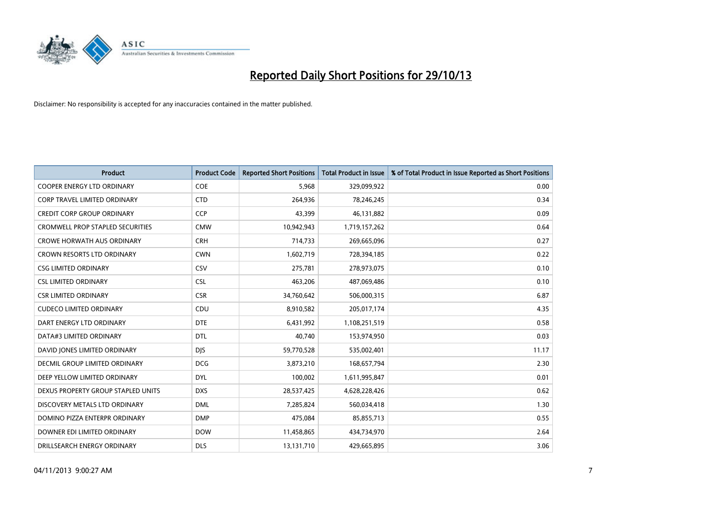

| <b>Product</b>                          | <b>Product Code</b> | <b>Reported Short Positions</b> | <b>Total Product in Issue</b> | % of Total Product in Issue Reported as Short Positions |
|-----------------------------------------|---------------------|---------------------------------|-------------------------------|---------------------------------------------------------|
| <b>COOPER ENERGY LTD ORDINARY</b>       | <b>COE</b>          | 5,968                           | 329,099,922                   | 0.00                                                    |
| <b>CORP TRAVEL LIMITED ORDINARY</b>     | <b>CTD</b>          | 264,936                         | 78,246,245                    | 0.34                                                    |
| <b>CREDIT CORP GROUP ORDINARY</b>       | <b>CCP</b>          | 43,399                          | 46,131,882                    | 0.09                                                    |
| <b>CROMWELL PROP STAPLED SECURITIES</b> | <b>CMW</b>          | 10,942,943                      | 1,719,157,262                 | 0.64                                                    |
| <b>CROWE HORWATH AUS ORDINARY</b>       | <b>CRH</b>          | 714,733                         | 269,665,096                   | 0.27                                                    |
| CROWN RESORTS LTD ORDINARY              | <b>CWN</b>          | 1,602,719                       | 728,394,185                   | 0.22                                                    |
| <b>CSG LIMITED ORDINARY</b>             | CSV                 | 275,781                         | 278,973,075                   | 0.10                                                    |
| <b>CSL LIMITED ORDINARY</b>             | <b>CSL</b>          | 463,206                         | 487,069,486                   | 0.10                                                    |
| <b>CSR LIMITED ORDINARY</b>             | <b>CSR</b>          | 34,760,642                      | 506,000,315                   | 6.87                                                    |
| <b>CUDECO LIMITED ORDINARY</b>          | CDU                 | 8,910,582                       | 205,017,174                   | 4.35                                                    |
| DART ENERGY LTD ORDINARY                | <b>DTE</b>          | 6,431,992                       | 1,108,251,519                 | 0.58                                                    |
| DATA#3 LIMITED ORDINARY                 | <b>DTL</b>          | 40,740                          | 153,974,950                   | 0.03                                                    |
| DAVID JONES LIMITED ORDINARY            | <b>DJS</b>          | 59,770,528                      | 535,002,401                   | 11.17                                                   |
| <b>DECMIL GROUP LIMITED ORDINARY</b>    | <b>DCG</b>          | 3,873,210                       | 168,657,794                   | 2.30                                                    |
| DEEP YELLOW LIMITED ORDINARY            | <b>DYL</b>          | 100,002                         | 1,611,995,847                 | 0.01                                                    |
| DEXUS PROPERTY GROUP STAPLED UNITS      | <b>DXS</b>          | 28,537,425                      | 4,628,228,426                 | 0.62                                                    |
| DISCOVERY METALS LTD ORDINARY           | <b>DML</b>          | 7,285,824                       | 560,034,418                   | 1.30                                                    |
| DOMINO PIZZA ENTERPR ORDINARY           | <b>DMP</b>          | 475,084                         | 85,855,713                    | 0.55                                                    |
| DOWNER EDI LIMITED ORDINARY             | <b>DOW</b>          | 11,458,865                      | 434,734,970                   | 2.64                                                    |
| DRILLSEARCH ENERGY ORDINARY             | <b>DLS</b>          | 13,131,710                      | 429,665,895                   | 3.06                                                    |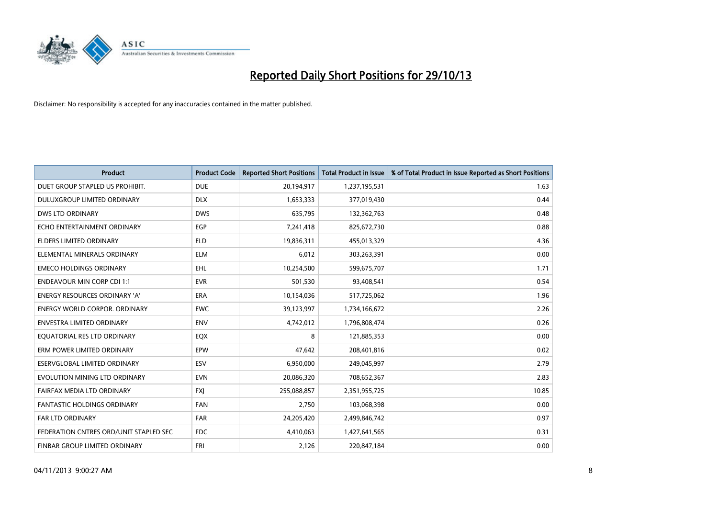

| <b>Product</b>                         | <b>Product Code</b> | <b>Reported Short Positions</b> | <b>Total Product in Issue</b> | % of Total Product in Issue Reported as Short Positions |
|----------------------------------------|---------------------|---------------------------------|-------------------------------|---------------------------------------------------------|
| DUET GROUP STAPLED US PROHIBIT.        | <b>DUE</b>          | 20,194,917                      | 1,237,195,531                 | 1.63                                                    |
| DULUXGROUP LIMITED ORDINARY            | <b>DLX</b>          | 1,653,333                       | 377,019,430                   | 0.44                                                    |
| <b>DWS LTD ORDINARY</b>                | <b>DWS</b>          | 635,795                         | 132,362,763                   | 0.48                                                    |
| ECHO ENTERTAINMENT ORDINARY            | <b>EGP</b>          | 7,241,418                       | 825,672,730                   | 0.88                                                    |
| ELDERS LIMITED ORDINARY                | <b>ELD</b>          | 19,836,311                      | 455,013,329                   | 4.36                                                    |
| ELEMENTAL MINERALS ORDINARY            | <b>ELM</b>          | 6,012                           | 303,263,391                   | 0.00                                                    |
| <b>EMECO HOLDINGS ORDINARY</b>         | EHL                 | 10,254,500                      | 599,675,707                   | 1.71                                                    |
| <b>ENDEAVOUR MIN CORP CDI 1:1</b>      | <b>EVR</b>          | 501,530                         | 93,408,541                    | 0.54                                                    |
| <b>ENERGY RESOURCES ORDINARY 'A'</b>   | <b>ERA</b>          | 10,154,036                      | 517,725,062                   | 1.96                                                    |
| <b>ENERGY WORLD CORPOR, ORDINARY</b>   | <b>EWC</b>          | 39,123,997                      | 1,734,166,672                 | 2.26                                                    |
| ENVESTRA LIMITED ORDINARY              | <b>ENV</b>          | 4,742,012                       | 1,796,808,474                 | 0.26                                                    |
| EQUATORIAL RES LTD ORDINARY            | EQX                 | 8                               | 121,885,353                   | 0.00                                                    |
| ERM POWER LIMITED ORDINARY             | EPW                 | 47,642                          | 208,401,816                   | 0.02                                                    |
| ESERVGLOBAL LIMITED ORDINARY           | ESV                 | 6,950,000                       | 249,045,997                   | 2.79                                                    |
| EVOLUTION MINING LTD ORDINARY          | <b>EVN</b>          | 20,086,320                      | 708,652,367                   | 2.83                                                    |
| FAIRFAX MEDIA LTD ORDINARY             | <b>FXJ</b>          | 255,088,857                     | 2,351,955,725                 | 10.85                                                   |
| FANTASTIC HOLDINGS ORDINARY            | <b>FAN</b>          | 2,750                           | 103,068,398                   | 0.00                                                    |
| <b>FAR LTD ORDINARY</b>                | <b>FAR</b>          | 24,205,420                      | 2,499,846,742                 | 0.97                                                    |
| FEDERATION CNTRES ORD/UNIT STAPLED SEC | FDC                 | 4,410,063                       | 1,427,641,565                 | 0.31                                                    |
| FINBAR GROUP LIMITED ORDINARY          | <b>FRI</b>          | 2,126                           | 220,847,184                   | 0.00                                                    |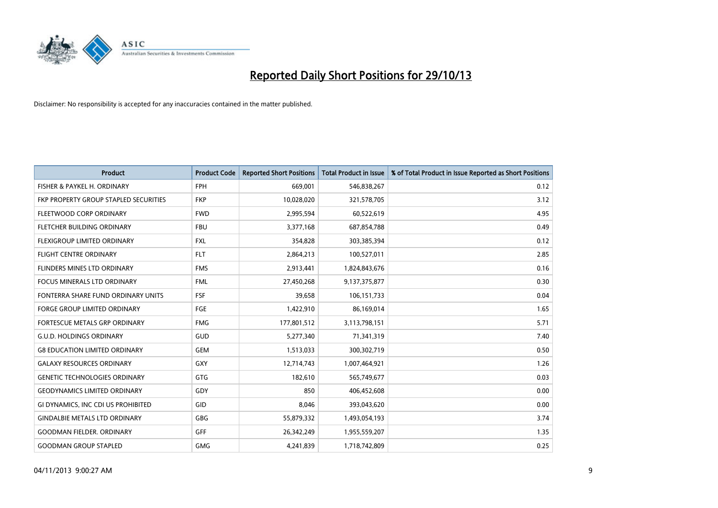

| <b>Product</b>                        | <b>Product Code</b> | <b>Reported Short Positions</b> | <b>Total Product in Issue</b> | % of Total Product in Issue Reported as Short Positions |
|---------------------------------------|---------------------|---------------------------------|-------------------------------|---------------------------------------------------------|
| FISHER & PAYKEL H. ORDINARY           | <b>FPH</b>          | 669,001                         | 546,838,267                   | 0.12                                                    |
| FKP PROPERTY GROUP STAPLED SECURITIES | <b>FKP</b>          | 10,028,020                      | 321,578,705                   | 3.12                                                    |
| FLEETWOOD CORP ORDINARY               | <b>FWD</b>          | 2,995,594                       | 60,522,619                    | 4.95                                                    |
| FLETCHER BUILDING ORDINARY            | <b>FBU</b>          | 3,377,168                       | 687,854,788                   | 0.49                                                    |
| FLEXIGROUP LIMITED ORDINARY           | <b>FXL</b>          | 354,828                         | 303,385,394                   | 0.12                                                    |
| <b>FLIGHT CENTRE ORDINARY</b>         | <b>FLT</b>          | 2,864,213                       | 100,527,011                   | 2.85                                                    |
| <b>FLINDERS MINES LTD ORDINARY</b>    | <b>FMS</b>          | 2,913,441                       | 1,824,843,676                 | 0.16                                                    |
| FOCUS MINERALS LTD ORDINARY           | <b>FML</b>          | 27,450,268                      | 9,137,375,877                 | 0.30                                                    |
| FONTERRA SHARE FUND ORDINARY UNITS    | <b>FSF</b>          | 39,658                          | 106,151,733                   | 0.04                                                    |
| FORGE GROUP LIMITED ORDINARY          | FGE                 | 1,422,910                       | 86,169,014                    | 1.65                                                    |
| FORTESCUE METALS GRP ORDINARY         | <b>FMG</b>          | 177,801,512                     | 3,113,798,151                 | 5.71                                                    |
| <b>G.U.D. HOLDINGS ORDINARY</b>       | GUD                 | 5,277,340                       | 71,341,319                    | 7.40                                                    |
| <b>G8 EDUCATION LIMITED ORDINARY</b>  | <b>GEM</b>          | 1,513,033                       | 300,302,719                   | 0.50                                                    |
| <b>GALAXY RESOURCES ORDINARY</b>      | GXY                 | 12,714,743                      | 1,007,464,921                 | 1.26                                                    |
| <b>GENETIC TECHNOLOGIES ORDINARY</b>  | GTG                 | 182,610                         | 565,749,677                   | 0.03                                                    |
| <b>GEODYNAMICS LIMITED ORDINARY</b>   | GDY                 | 850                             | 406,452,608                   | 0.00                                                    |
| GI DYNAMICS, INC CDI US PROHIBITED    | GID                 | 8,046                           | 393,043,620                   | 0.00                                                    |
| <b>GINDALBIE METALS LTD ORDINARY</b>  | <b>GBG</b>          | 55,879,332                      | 1,493,054,193                 | 3.74                                                    |
| <b>GOODMAN FIELDER, ORDINARY</b>      | <b>GFF</b>          | 26,342,249                      | 1,955,559,207                 | 1.35                                                    |
| <b>GOODMAN GROUP STAPLED</b>          | <b>GMG</b>          | 4,241,839                       | 1,718,742,809                 | 0.25                                                    |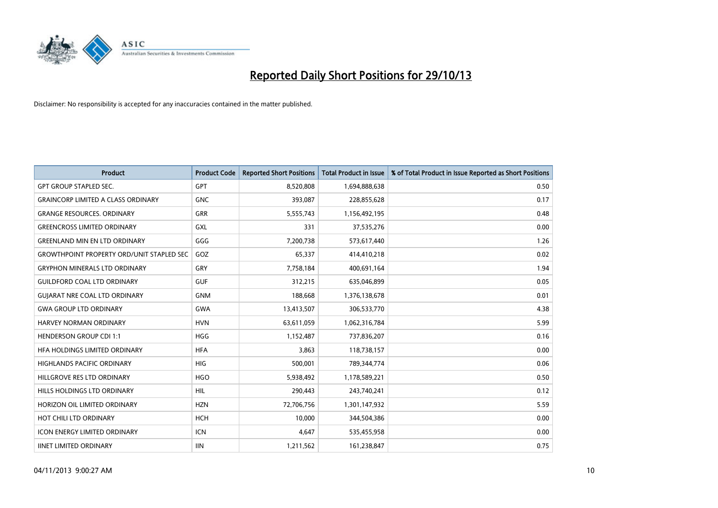

| <b>Product</b>                                   | <b>Product Code</b> | <b>Reported Short Positions</b> | <b>Total Product in Issue</b> | % of Total Product in Issue Reported as Short Positions |
|--------------------------------------------------|---------------------|---------------------------------|-------------------------------|---------------------------------------------------------|
| <b>GPT GROUP STAPLED SEC.</b>                    | <b>GPT</b>          | 8,520,808                       | 1,694,888,638                 | 0.50                                                    |
| <b>GRAINCORP LIMITED A CLASS ORDINARY</b>        | <b>GNC</b>          | 393,087                         | 228,855,628                   | 0.17                                                    |
| <b>GRANGE RESOURCES, ORDINARY</b>                | <b>GRR</b>          | 5,555,743                       | 1,156,492,195                 | 0.48                                                    |
| <b>GREENCROSS LIMITED ORDINARY</b>               | <b>GXL</b>          | 331                             | 37,535,276                    | 0.00                                                    |
| <b>GREENLAND MIN EN LTD ORDINARY</b>             | GGG                 | 7,200,738                       | 573,617,440                   | 1.26                                                    |
| <b>GROWTHPOINT PROPERTY ORD/UNIT STAPLED SEC</b> | GOZ                 | 65,337                          | 414,410,218                   | 0.02                                                    |
| <b>GRYPHON MINERALS LTD ORDINARY</b>             | GRY                 | 7,758,184                       | 400,691,164                   | 1.94                                                    |
| <b>GUILDFORD COAL LTD ORDINARY</b>               | <b>GUF</b>          | 312,215                         | 635,046,899                   | 0.05                                                    |
| <b>GUJARAT NRE COAL LTD ORDINARY</b>             | <b>GNM</b>          | 188,668                         | 1,376,138,678                 | 0.01                                                    |
| <b>GWA GROUP LTD ORDINARY</b>                    | <b>GWA</b>          | 13,413,507                      | 306,533,770                   | 4.38                                                    |
| <b>HARVEY NORMAN ORDINARY</b>                    | <b>HVN</b>          | 63,611,059                      | 1,062,316,784                 | 5.99                                                    |
| <b>HENDERSON GROUP CDI 1:1</b>                   | <b>HGG</b>          | 1,152,487                       | 737,836,207                   | 0.16                                                    |
| HFA HOLDINGS LIMITED ORDINARY                    | <b>HFA</b>          | 3.863                           | 118,738,157                   | 0.00                                                    |
| <b>HIGHLANDS PACIFIC ORDINARY</b>                | <b>HIG</b>          | 500,001                         | 789,344,774                   | 0.06                                                    |
| HILLGROVE RES LTD ORDINARY                       | <b>HGO</b>          | 5,938,492                       | 1,178,589,221                 | 0.50                                                    |
| HILLS HOLDINGS LTD ORDINARY                      | HIL                 | 290,443                         | 243,740,241                   | 0.12                                                    |
| HORIZON OIL LIMITED ORDINARY                     | <b>HZN</b>          | 72,706,756                      | 1,301,147,932                 | 5.59                                                    |
| HOT CHILI LTD ORDINARY                           | <b>HCH</b>          | 10.000                          | 344,504,386                   | 0.00                                                    |
| <b>ICON ENERGY LIMITED ORDINARY</b>              | <b>ICN</b>          | 4,647                           | 535,455,958                   | 0.00                                                    |
| <b>IINET LIMITED ORDINARY</b>                    | <b>IIN</b>          | 1,211,562                       | 161,238,847                   | 0.75                                                    |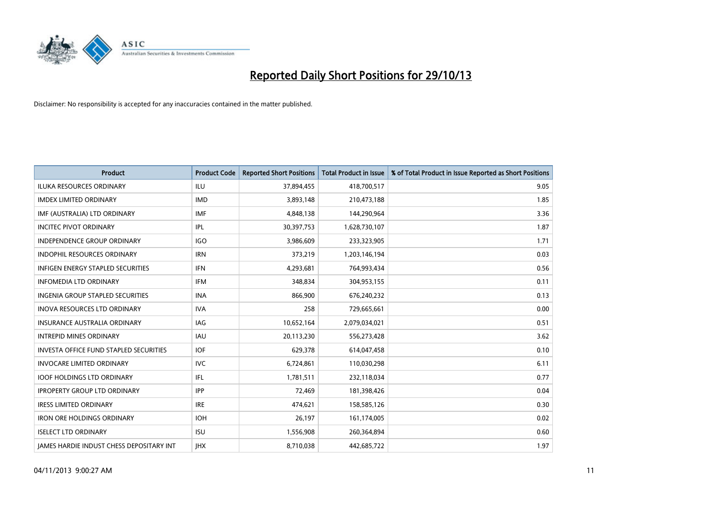

| <b>Product</b>                                  | <b>Product Code</b> | <b>Reported Short Positions</b> | <b>Total Product in Issue</b> | % of Total Product in Issue Reported as Short Positions |
|-------------------------------------------------|---------------------|---------------------------------|-------------------------------|---------------------------------------------------------|
| <b>ILUKA RESOURCES ORDINARY</b>                 | ILU                 | 37,894,455                      | 418,700,517                   | 9.05                                                    |
| <b>IMDEX LIMITED ORDINARY</b>                   | <b>IMD</b>          | 3,893,148                       | 210,473,188                   | 1.85                                                    |
| IMF (AUSTRALIA) LTD ORDINARY                    | <b>IMF</b>          | 4,848,138                       | 144,290,964                   | 3.36                                                    |
| <b>INCITEC PIVOT ORDINARY</b>                   | IPL                 | 30,397,753                      | 1,628,730,107                 | 1.87                                                    |
| <b>INDEPENDENCE GROUP ORDINARY</b>              | <b>IGO</b>          | 3,986,609                       | 233,323,905                   | 1.71                                                    |
| INDOPHIL RESOURCES ORDINARY                     | <b>IRN</b>          | 373,219                         | 1,203,146,194                 | 0.03                                                    |
| <b>INFIGEN ENERGY STAPLED SECURITIES</b>        | <b>IFN</b>          | 4,293,681                       | 764,993,434                   | 0.56                                                    |
| <b>INFOMEDIA LTD ORDINARY</b>                   | <b>IFM</b>          | 348,834                         | 304,953,155                   | 0.11                                                    |
| <b>INGENIA GROUP STAPLED SECURITIES</b>         | <b>INA</b>          | 866,900                         | 676,240,232                   | 0.13                                                    |
| <b>INOVA RESOURCES LTD ORDINARY</b>             | <b>IVA</b>          | 258                             | 729,665,661                   | 0.00                                                    |
| INSURANCE AUSTRALIA ORDINARY                    | IAG                 | 10,652,164                      | 2,079,034,021                 | 0.51                                                    |
| <b>INTREPID MINES ORDINARY</b>                  | <b>IAU</b>          | 20,113,230                      | 556,273,428                   | 3.62                                                    |
| INVESTA OFFICE FUND STAPLED SECURITIES          | <b>IOF</b>          | 629,378                         | 614,047,458                   | 0.10                                                    |
| <b>INVOCARE LIMITED ORDINARY</b>                | <b>IVC</b>          | 6,724,861                       | 110,030,298                   | 6.11                                                    |
| <b>IOOF HOLDINGS LTD ORDINARY</b>               | IFL                 | 1,781,511                       | 232,118,034                   | 0.77                                                    |
| <b>IPROPERTY GROUP LTD ORDINARY</b>             | <b>IPP</b>          | 72,469                          | 181,398,426                   | 0.04                                                    |
| <b>IRESS LIMITED ORDINARY</b>                   | <b>IRE</b>          | 474,621                         | 158,585,126                   | 0.30                                                    |
| <b>IRON ORE HOLDINGS ORDINARY</b>               | <b>IOH</b>          | 26,197                          | 161,174,005                   | 0.02                                                    |
| <b>ISELECT LTD ORDINARY</b>                     | <b>ISU</b>          | 1,556,908                       | 260,364,894                   | 0.60                                                    |
| <b>IAMES HARDIE INDUST CHESS DEPOSITARY INT</b> | <b>IHX</b>          | 8,710,038                       | 442.685.722                   | 1.97                                                    |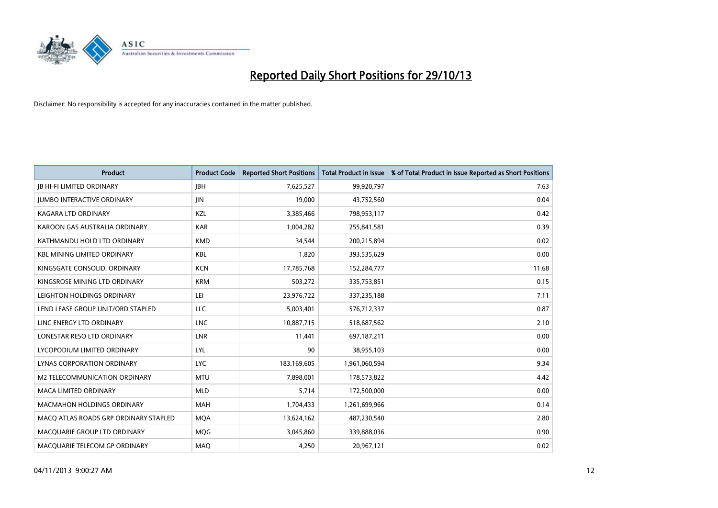

| <b>Product</b>                        | <b>Product Code</b> | <b>Reported Short Positions</b> | <b>Total Product in Issue</b> | % of Total Product in Issue Reported as Short Positions |
|---------------------------------------|---------------------|---------------------------------|-------------------------------|---------------------------------------------------------|
| <b>JB HI-FI LIMITED ORDINARY</b>      | <b>JBH</b>          | 7,625,527                       | 99,920,797                    | 7.63                                                    |
| <b>JUMBO INTERACTIVE ORDINARY</b>     | JIN                 | 19,000                          | 43,752,560                    | 0.04                                                    |
| <b>KAGARA LTD ORDINARY</b>            | KZL                 | 3,385,466                       | 798,953,117                   | 0.42                                                    |
| KAROON GAS AUSTRALIA ORDINARY         | <b>KAR</b>          | 1,004,282                       | 255,841,581                   | 0.39                                                    |
| KATHMANDU HOLD LTD ORDINARY           | <b>KMD</b>          | 34,544                          | 200,215,894                   | 0.02                                                    |
| <b>KBL MINING LIMITED ORDINARY</b>    | <b>KBL</b>          | 1,820                           | 393,535,629                   | 0.00                                                    |
| KINGSGATE CONSOLID. ORDINARY          | <b>KCN</b>          | 17,785,768                      | 152,284,777                   | 11.68                                                   |
| KINGSROSE MINING LTD ORDINARY         | <b>KRM</b>          | 503,272                         | 335,753,851                   | 0.15                                                    |
| LEIGHTON HOLDINGS ORDINARY            | LEI                 | 23,976,722                      | 337,235,188                   | 7.11                                                    |
| LEND LEASE GROUP UNIT/ORD STAPLED     | <b>LLC</b>          | 5,003,401                       | 576,712,337                   | 0.87                                                    |
| LINC ENERGY LTD ORDINARY              | <b>LNC</b>          | 10,887,715                      | 518,687,562                   | 2.10                                                    |
| LONESTAR RESO LTD ORDINARY            | LNR                 | 11,441                          | 697,187,211                   | 0.00                                                    |
| LYCOPODIUM LIMITED ORDINARY           | <b>LYL</b>          | 90                              | 38,955,103                    | 0.00                                                    |
| LYNAS CORPORATION ORDINARY            | <b>LYC</b>          | 183,169,605                     | 1,961,060,594                 | 9.34                                                    |
| <b>M2 TELECOMMUNICATION ORDINARY</b>  | <b>MTU</b>          | 7,898,001                       | 178,573,822                   | 4.42                                                    |
| MACA LIMITED ORDINARY                 | <b>MLD</b>          | 5,714                           | 172,500,000                   | 0.00                                                    |
| MACMAHON HOLDINGS ORDINARY            | MAH                 | 1,704,433                       | 1,261,699,966                 | 0.14                                                    |
| MACO ATLAS ROADS GRP ORDINARY STAPLED | <b>MOA</b>          | 13,624,162                      | 487,230,540                   | 2.80                                                    |
| MACQUARIE GROUP LTD ORDINARY          | <b>MQG</b>          | 3,045,860                       | 339,888,036                   | 0.90                                                    |
| MACQUARIE TELECOM GP ORDINARY         | MAQ                 | 4,250                           | 20,967,121                    | 0.02                                                    |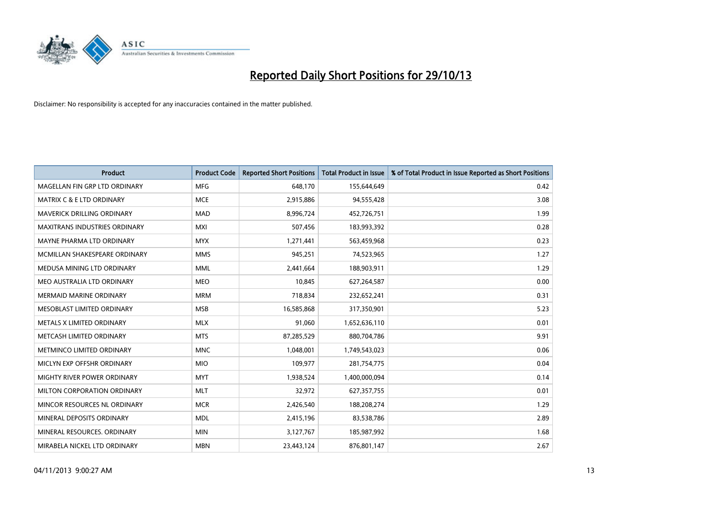

| <b>Product</b>                       | <b>Product Code</b> | <b>Reported Short Positions</b> | <b>Total Product in Issue</b> | % of Total Product in Issue Reported as Short Positions |
|--------------------------------------|---------------------|---------------------------------|-------------------------------|---------------------------------------------------------|
| MAGELLAN FIN GRP LTD ORDINARY        | <b>MFG</b>          | 648.170                         | 155,644,649                   | 0.42                                                    |
| <b>MATRIX C &amp; E LTD ORDINARY</b> | <b>MCE</b>          | 2,915,886                       | 94,555,428                    | 3.08                                                    |
| <b>MAVERICK DRILLING ORDINARY</b>    | <b>MAD</b>          | 8,996,724                       | 452,726,751                   | 1.99                                                    |
| MAXITRANS INDUSTRIES ORDINARY        | <b>MXI</b>          | 507,456                         | 183,993,392                   | 0.28                                                    |
| MAYNE PHARMA LTD ORDINARY            | <b>MYX</b>          | 1,271,441                       | 563,459,968                   | 0.23                                                    |
| MCMILLAN SHAKESPEARE ORDINARY        | <b>MMS</b>          | 945,251                         | 74,523,965                    | 1.27                                                    |
| MEDUSA MINING LTD ORDINARY           | <b>MML</b>          | 2,441,664                       | 188,903,911                   | 1.29                                                    |
| MEO AUSTRALIA LTD ORDINARY           | <b>MEO</b>          | 10,845                          | 627,264,587                   | 0.00                                                    |
| <b>MERMAID MARINE ORDINARY</b>       | <b>MRM</b>          | 718,834                         | 232,652,241                   | 0.31                                                    |
| MESOBLAST LIMITED ORDINARY           | <b>MSB</b>          | 16,585,868                      | 317,350,901                   | 5.23                                                    |
| METALS X LIMITED ORDINARY            | <b>MLX</b>          | 91,060                          | 1,652,636,110                 | 0.01                                                    |
| METCASH LIMITED ORDINARY             | <b>MTS</b>          | 87,285,529                      | 880,704,786                   | 9.91                                                    |
| METMINCO LIMITED ORDINARY            | <b>MNC</b>          | 1,048,001                       | 1,749,543,023                 | 0.06                                                    |
| MICLYN EXP OFFSHR ORDINARY           | <b>MIO</b>          | 109,977                         | 281,754,775                   | 0.04                                                    |
| MIGHTY RIVER POWER ORDINARY          | <b>MYT</b>          | 1,938,524                       | 1,400,000,094                 | 0.14                                                    |
| MILTON CORPORATION ORDINARY          | <b>MLT</b>          | 32,972                          | 627,357,755                   | 0.01                                                    |
| MINCOR RESOURCES NL ORDINARY         | <b>MCR</b>          | 2,426,540                       | 188,208,274                   | 1.29                                                    |
| MINERAL DEPOSITS ORDINARY            | <b>MDL</b>          | 2,415,196                       | 83,538,786                    | 2.89                                                    |
| MINERAL RESOURCES, ORDINARY          | <b>MIN</b>          | 3,127,767                       | 185,987,992                   | 1.68                                                    |
| MIRABELA NICKEL LTD ORDINARY         | <b>MBN</b>          | 23,443,124                      | 876,801,147                   | 2.67                                                    |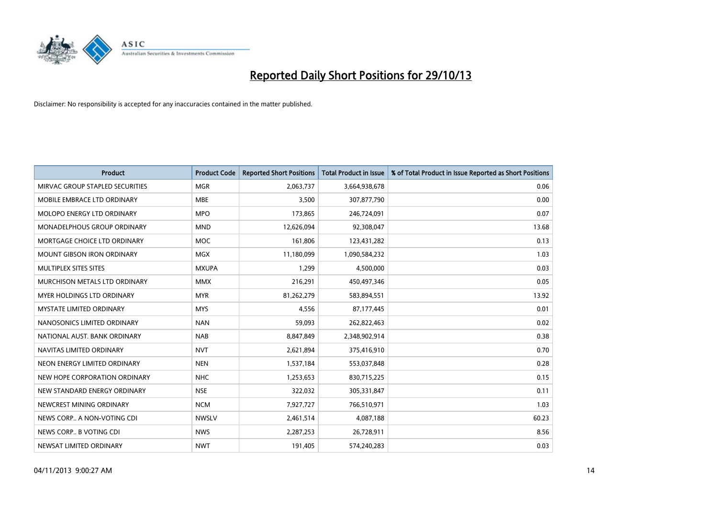

| <b>Product</b>                    | <b>Product Code</b> | <b>Reported Short Positions</b> | <b>Total Product in Issue</b> | % of Total Product in Issue Reported as Short Positions |
|-----------------------------------|---------------------|---------------------------------|-------------------------------|---------------------------------------------------------|
| MIRVAC GROUP STAPLED SECURITIES   | <b>MGR</b>          | 2,063,737                       | 3,664,938,678                 | 0.06                                                    |
| MOBILE EMBRACE LTD ORDINARY       | MBE                 | 3,500                           | 307,877,790                   | 0.00                                                    |
| MOLOPO ENERGY LTD ORDINARY        | <b>MPO</b>          | 173,865                         | 246,724,091                   | 0.07                                                    |
| MONADELPHOUS GROUP ORDINARY       | <b>MND</b>          | 12,626,094                      | 92,308,047                    | 13.68                                                   |
| MORTGAGE CHOICE LTD ORDINARY      | <b>MOC</b>          | 161,806                         | 123,431,282                   | 0.13                                                    |
| <b>MOUNT GIBSON IRON ORDINARY</b> | <b>MGX</b>          | 11,180,099                      | 1,090,584,232                 | 1.03                                                    |
| MULTIPLEX SITES SITES             | <b>MXUPA</b>        | 1,299                           | 4,500,000                     | 0.03                                                    |
| MURCHISON METALS LTD ORDINARY     | <b>MMX</b>          | 216,291                         | 450,497,346                   | 0.05                                                    |
| <b>MYER HOLDINGS LTD ORDINARY</b> | <b>MYR</b>          | 81,262,279                      | 583,894,551                   | 13.92                                                   |
| <b>MYSTATE LIMITED ORDINARY</b>   | <b>MYS</b>          | 4,556                           | 87,177,445                    | 0.01                                                    |
| NANOSONICS LIMITED ORDINARY       | <b>NAN</b>          | 59,093                          | 262,822,463                   | 0.02                                                    |
| NATIONAL AUST, BANK ORDINARY      | <b>NAB</b>          | 8,847,849                       | 2,348,902,914                 | 0.38                                                    |
| NAVITAS LIMITED ORDINARY          | <b>NVT</b>          | 2,621,894                       | 375,416,910                   | 0.70                                                    |
| NEON ENERGY LIMITED ORDINARY      | <b>NEN</b>          | 1,537,184                       | 553,037,848                   | 0.28                                                    |
| NEW HOPE CORPORATION ORDINARY     | <b>NHC</b>          | 1,253,653                       | 830,715,225                   | 0.15                                                    |
| NEW STANDARD ENERGY ORDINARY      | <b>NSE</b>          | 322,032                         | 305,331,847                   | 0.11                                                    |
| NEWCREST MINING ORDINARY          | <b>NCM</b>          | 7,927,727                       | 766,510,971                   | 1.03                                                    |
| NEWS CORP A NON-VOTING CDI        | <b>NWSLV</b>        | 2,461,514                       | 4,087,188                     | 60.23                                                   |
| NEWS CORP B VOTING CDI            | <b>NWS</b>          | 2,287,253                       | 26,728,911                    | 8.56                                                    |
| NEWSAT LIMITED ORDINARY           | <b>NWT</b>          | 191,405                         | 574,240,283                   | 0.03                                                    |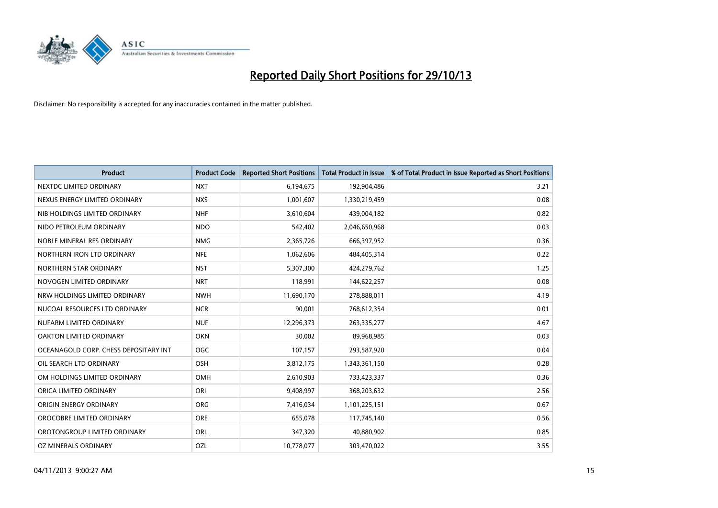

| <b>Product</b>                        | <b>Product Code</b> | <b>Reported Short Positions</b> | <b>Total Product in Issue</b> | % of Total Product in Issue Reported as Short Positions |
|---------------------------------------|---------------------|---------------------------------|-------------------------------|---------------------------------------------------------|
| NEXTDC LIMITED ORDINARY               | <b>NXT</b>          | 6,194,675                       | 192,904,486                   | 3.21                                                    |
| NEXUS ENERGY LIMITED ORDINARY         | <b>NXS</b>          | 1,001,607                       | 1,330,219,459                 | 0.08                                                    |
| NIB HOLDINGS LIMITED ORDINARY         | <b>NHF</b>          | 3,610,604                       | 439,004,182                   | 0.82                                                    |
| NIDO PETROLEUM ORDINARY               | <b>NDO</b>          | 542,402                         | 2,046,650,968                 | 0.03                                                    |
| NOBLE MINERAL RES ORDINARY            | <b>NMG</b>          | 2,365,726                       | 666,397,952                   | 0.36                                                    |
| NORTHERN IRON LTD ORDINARY            | <b>NFE</b>          | 1,062,606                       | 484,405,314                   | 0.22                                                    |
| NORTHERN STAR ORDINARY                | <b>NST</b>          | 5,307,300                       | 424,279,762                   | 1.25                                                    |
| NOVOGEN LIMITED ORDINARY              | <b>NRT</b>          | 118,991                         | 144,622,257                   | 0.08                                                    |
| NRW HOLDINGS LIMITED ORDINARY         | <b>NWH</b>          | 11,690,170                      | 278,888,011                   | 4.19                                                    |
| NUCOAL RESOURCES LTD ORDINARY         | <b>NCR</b>          | 90,001                          | 768,612,354                   | 0.01                                                    |
| NUFARM LIMITED ORDINARY               | <b>NUF</b>          | 12,296,373                      | 263,335,277                   | 4.67                                                    |
| OAKTON LIMITED ORDINARY               | <b>OKN</b>          | 30,002                          | 89,968,985                    | 0.03                                                    |
| OCEANAGOLD CORP. CHESS DEPOSITARY INT | <b>OGC</b>          | 107,157                         | 293,587,920                   | 0.04                                                    |
| OIL SEARCH LTD ORDINARY               | OSH                 | 3,812,175                       | 1,343,361,150                 | 0.28                                                    |
| OM HOLDINGS LIMITED ORDINARY          | <b>OMH</b>          | 2,610,903                       | 733,423,337                   | 0.36                                                    |
| ORICA LIMITED ORDINARY                | ORI                 | 9,408,997                       | 368,203,632                   | 2.56                                                    |
| ORIGIN ENERGY ORDINARY                | <b>ORG</b>          | 7,416,034                       | 1,101,225,151                 | 0.67                                                    |
| OROCOBRE LIMITED ORDINARY             | <b>ORE</b>          | 655,078                         | 117,745,140                   | 0.56                                                    |
| OROTONGROUP LIMITED ORDINARY          | ORL                 | 347,320                         | 40,880,902                    | 0.85                                                    |
| OZ MINERALS ORDINARY                  | OZL                 | 10,778,077                      | 303,470,022                   | 3.55                                                    |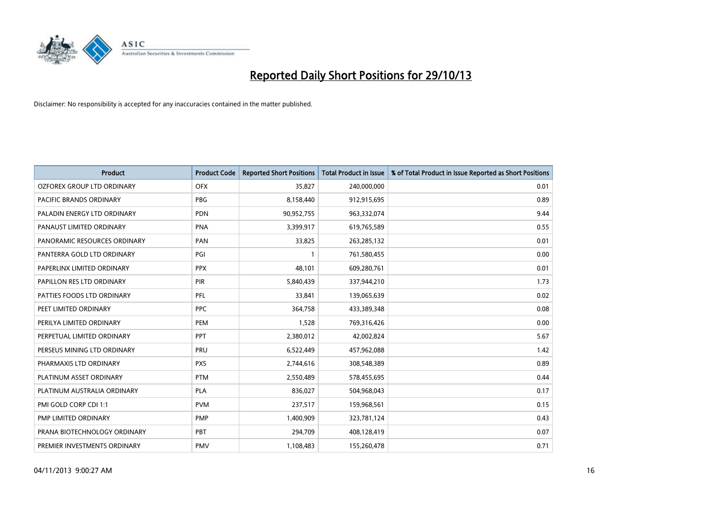

| <b>Product</b>                 | <b>Product Code</b> | <b>Reported Short Positions</b> | <b>Total Product in Issue</b> | % of Total Product in Issue Reported as Short Positions |
|--------------------------------|---------------------|---------------------------------|-------------------------------|---------------------------------------------------------|
| OZFOREX GROUP LTD ORDINARY     | <b>OFX</b>          | 35,827                          | 240,000,000                   | 0.01                                                    |
| <b>PACIFIC BRANDS ORDINARY</b> | <b>PBG</b>          | 8,158,440                       | 912,915,695                   | 0.89                                                    |
| PALADIN ENERGY LTD ORDINARY    | <b>PDN</b>          | 90,952,755                      | 963,332,074                   | 9.44                                                    |
| PANAUST LIMITED ORDINARY       | <b>PNA</b>          | 3,399,917                       | 619,765,589                   | 0.55                                                    |
| PANORAMIC RESOURCES ORDINARY   | PAN                 | 33,825                          | 263,285,132                   | 0.01                                                    |
| PANTERRA GOLD LTD ORDINARY     | PGI                 | $\mathbf{1}$                    | 761,580,455                   | 0.00                                                    |
| PAPERLINX LIMITED ORDINARY     | <b>PPX</b>          | 48,101                          | 609,280,761                   | 0.01                                                    |
| PAPILLON RES LTD ORDINARY      | <b>PIR</b>          | 5,840,439                       | 337,944,210                   | 1.73                                                    |
| PATTIES FOODS LTD ORDINARY     | <b>PFL</b>          | 33,841                          | 139,065,639                   | 0.02                                                    |
| PEET LIMITED ORDINARY          | <b>PPC</b>          | 364,758                         | 433,389,348                   | 0.08                                                    |
| PERILYA LIMITED ORDINARY       | PEM                 | 1,528                           | 769,316,426                   | 0.00                                                    |
| PERPETUAL LIMITED ORDINARY     | PPT                 | 2,380,012                       | 42,002,824                    | 5.67                                                    |
| PERSEUS MINING LTD ORDINARY    | PRU                 | 6,522,449                       | 457,962,088                   | 1.42                                                    |
| PHARMAXIS LTD ORDINARY         | <b>PXS</b>          | 2,744,616                       | 308,548,389                   | 0.89                                                    |
| PLATINUM ASSET ORDINARY        | <b>PTM</b>          | 2,550,489                       | 578,455,695                   | 0.44                                                    |
| PLATINUM AUSTRALIA ORDINARY    | PLA                 | 836,027                         | 504,968,043                   | 0.17                                                    |
| PMI GOLD CORP CDI 1:1          | <b>PVM</b>          | 237,517                         | 159,968,561                   | 0.15                                                    |
| PMP LIMITED ORDINARY           | <b>PMP</b>          | 1,400,909                       | 323,781,124                   | 0.43                                                    |
| PRANA BIOTECHNOLOGY ORDINARY   | PBT                 | 294,709                         | 408,128,419                   | 0.07                                                    |
| PREMIER INVESTMENTS ORDINARY   | <b>PMV</b>          | 1,108,483                       | 155,260,478                   | 0.71                                                    |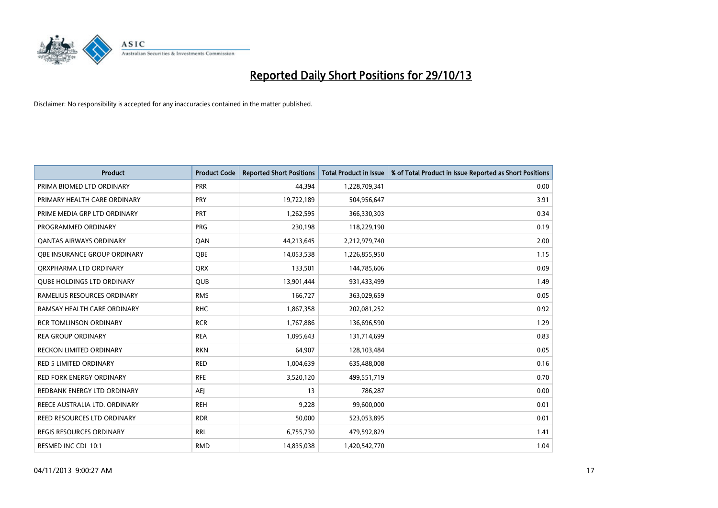

| <b>Product</b>                    | <b>Product Code</b> | <b>Reported Short Positions</b> | <b>Total Product in Issue</b> | % of Total Product in Issue Reported as Short Positions |
|-----------------------------------|---------------------|---------------------------------|-------------------------------|---------------------------------------------------------|
| PRIMA BIOMED LTD ORDINARY         | <b>PRR</b>          | 44,394                          | 1,228,709,341                 | 0.00                                                    |
| PRIMARY HEALTH CARE ORDINARY      | <b>PRY</b>          | 19,722,189                      | 504,956,647                   | 3.91                                                    |
| PRIME MEDIA GRP LTD ORDINARY      | <b>PRT</b>          | 1,262,595                       | 366,330,303                   | 0.34                                                    |
| PROGRAMMED ORDINARY               | <b>PRG</b>          | 230,198                         | 118,229,190                   | 0.19                                                    |
| <b>QANTAS AIRWAYS ORDINARY</b>    | QAN                 | 44,213,645                      | 2,212,979,740                 | 2.00                                                    |
| OBE INSURANCE GROUP ORDINARY      | <b>OBE</b>          | 14,053,538                      | 1,226,855,950                 | 1.15                                                    |
| ORXPHARMA LTD ORDINARY            | <b>QRX</b>          | 133,501                         | 144,785,606                   | 0.09                                                    |
| <b>QUBE HOLDINGS LTD ORDINARY</b> | <b>QUB</b>          | 13,901,444                      | 931,433,499                   | 1.49                                                    |
| RAMELIUS RESOURCES ORDINARY       | <b>RMS</b>          | 166,727                         | 363,029,659                   | 0.05                                                    |
| RAMSAY HEALTH CARE ORDINARY       | <b>RHC</b>          | 1,867,358                       | 202,081,252                   | 0.92                                                    |
| <b>RCR TOMLINSON ORDINARY</b>     | <b>RCR</b>          | 1,767,886                       | 136,696,590                   | 1.29                                                    |
| <b>REA GROUP ORDINARY</b>         | <b>REA</b>          | 1,095,643                       | 131,714,699                   | 0.83                                                    |
| RECKON LIMITED ORDINARY           | <b>RKN</b>          | 64,907                          | 128,103,484                   | 0.05                                                    |
| <b>RED 5 LIMITED ORDINARY</b>     | <b>RED</b>          | 1,004,639                       | 635,488,008                   | 0.16                                                    |
| <b>RED FORK ENERGY ORDINARY</b>   | <b>RFE</b>          | 3,520,120                       | 499,551,719                   | 0.70                                                    |
| REDBANK ENERGY LTD ORDINARY       | <b>AEI</b>          | 13                              | 786,287                       | 0.00                                                    |
| REECE AUSTRALIA LTD. ORDINARY     | <b>REH</b>          | 9,228                           | 99,600,000                    | 0.01                                                    |
| REED RESOURCES LTD ORDINARY       | <b>RDR</b>          | 50,000                          | 523,053,895                   | 0.01                                                    |
| <b>REGIS RESOURCES ORDINARY</b>   | <b>RRL</b>          | 6,755,730                       | 479,592,829                   | 1.41                                                    |
| RESMED INC CDI 10:1               | <b>RMD</b>          | 14,835,038                      | 1,420,542,770                 | 1.04                                                    |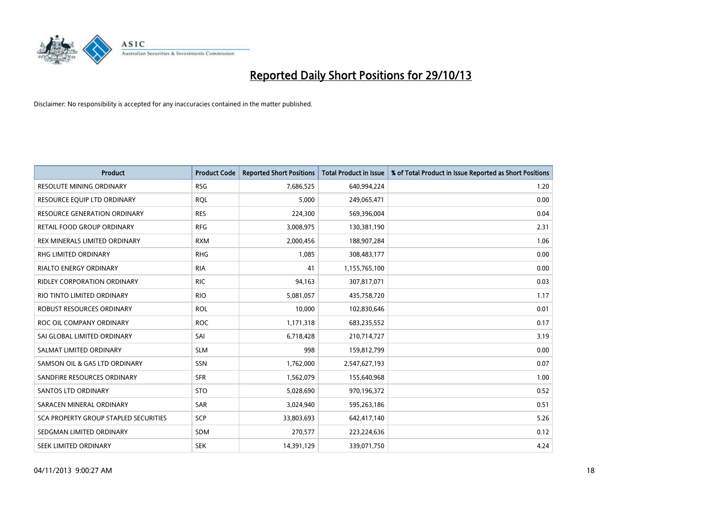

| <b>Product</b>                        | <b>Product Code</b> | <b>Reported Short Positions</b> | <b>Total Product in Issue</b> | % of Total Product in Issue Reported as Short Positions |
|---------------------------------------|---------------------|---------------------------------|-------------------------------|---------------------------------------------------------|
| <b>RESOLUTE MINING ORDINARY</b>       | <b>RSG</b>          | 7,686,525                       | 640,994,224                   | 1.20                                                    |
| RESOURCE EQUIP LTD ORDINARY           | RQL                 | 5,000                           | 249,065,471                   | 0.00                                                    |
| <b>RESOURCE GENERATION ORDINARY</b>   | <b>RES</b>          | 224,300                         | 569,396,004                   | 0.04                                                    |
| RETAIL FOOD GROUP ORDINARY            | <b>RFG</b>          | 3,008,975                       | 130,381,190                   | 2.31                                                    |
| REX MINERALS LIMITED ORDINARY         | <b>RXM</b>          | 2,000,456                       | 188,907,284                   | 1.06                                                    |
| <b>RHG LIMITED ORDINARY</b>           | <b>RHG</b>          | 1,085                           | 308,483,177                   | 0.00                                                    |
| <b>RIALTO ENERGY ORDINARY</b>         | <b>RIA</b>          | 41                              | 1,155,765,100                 | 0.00                                                    |
| RIDLEY CORPORATION ORDINARY           | <b>RIC</b>          | 94,163                          | 307,817,071                   | 0.03                                                    |
| RIO TINTO LIMITED ORDINARY            | <b>RIO</b>          | 5,081,057                       | 435,758,720                   | 1.17                                                    |
| ROBUST RESOURCES ORDINARY             | <b>ROL</b>          | 10,000                          | 102,830,646                   | 0.01                                                    |
| ROC OIL COMPANY ORDINARY              | <b>ROC</b>          | 1,171,318                       | 683,235,552                   | 0.17                                                    |
| SAI GLOBAL LIMITED ORDINARY           | SAI                 | 6,718,428                       | 210,714,727                   | 3.19                                                    |
| SALMAT LIMITED ORDINARY               | <b>SLM</b>          | 998                             | 159,812,799                   | 0.00                                                    |
| SAMSON OIL & GAS LTD ORDINARY         | SSN                 | 1,762,000                       | 2,547,627,193                 | 0.07                                                    |
| SANDFIRE RESOURCES ORDINARY           | <b>SFR</b>          | 1,562,079                       | 155,640,968                   | 1.00                                                    |
| <b>SANTOS LTD ORDINARY</b>            | <b>STO</b>          | 5,028,690                       | 970,196,372                   | 0.52                                                    |
| SARACEN MINERAL ORDINARY              | SAR                 | 3,024,940                       | 595,263,186                   | 0.51                                                    |
| SCA PROPERTY GROUP STAPLED SECURITIES | <b>SCP</b>          | 33,803,693                      | 642,417,140                   | 5.26                                                    |
| SEDGMAN LIMITED ORDINARY              | <b>SDM</b>          | 270,577                         | 223,224,636                   | 0.12                                                    |
| SEEK LIMITED ORDINARY                 | <b>SEK</b>          | 14,391,129                      | 339,071,750                   | 4.24                                                    |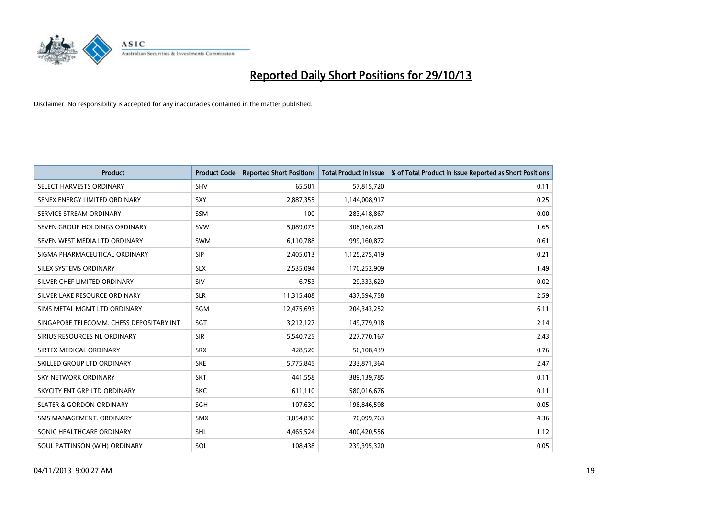

| <b>Product</b>                           | <b>Product Code</b> | <b>Reported Short Positions</b> | <b>Total Product in Issue</b> | % of Total Product in Issue Reported as Short Positions |
|------------------------------------------|---------------------|---------------------------------|-------------------------------|---------------------------------------------------------|
| SELECT HARVESTS ORDINARY                 | SHV                 | 65,501                          | 57,815,720                    | 0.11                                                    |
| SENEX ENERGY LIMITED ORDINARY            | <b>SXY</b>          | 2,887,355                       | 1,144,008,917                 | 0.25                                                    |
| SERVICE STREAM ORDINARY                  | <b>SSM</b>          | 100                             | 283,418,867                   | 0.00                                                    |
| SEVEN GROUP HOLDINGS ORDINARY            | <b>SVW</b>          | 5,089,075                       | 308,160,281                   | 1.65                                                    |
| SEVEN WEST MEDIA LTD ORDINARY            | <b>SWM</b>          | 6,110,788                       | 999,160,872                   | 0.61                                                    |
| SIGMA PHARMACEUTICAL ORDINARY            | <b>SIP</b>          | 2,405,013                       | 1,125,275,419                 | 0.21                                                    |
| SILEX SYSTEMS ORDINARY                   | <b>SLX</b>          | 2,535,094                       | 170,252,909                   | 1.49                                                    |
| SILVER CHEF LIMITED ORDINARY             | SIV                 | 6,753                           | 29,333,629                    | 0.02                                                    |
| SILVER LAKE RESOURCE ORDINARY            | <b>SLR</b>          | 11,315,408                      | 437,594,758                   | 2.59                                                    |
| SIMS METAL MGMT LTD ORDINARY             | SGM                 | 12,475,693                      | 204,343,252                   | 6.11                                                    |
| SINGAPORE TELECOMM. CHESS DEPOSITARY INT | SGT                 | 3,212,127                       | 149,779,918                   | 2.14                                                    |
| SIRIUS RESOURCES NL ORDINARY             | <b>SIR</b>          | 5,540,725                       | 227,770,167                   | 2.43                                                    |
| SIRTEX MEDICAL ORDINARY                  | <b>SRX</b>          | 428,520                         | 56,108,439                    | 0.76                                                    |
| SKILLED GROUP LTD ORDINARY               | <b>SKE</b>          | 5,775,845                       | 233,871,364                   | 2.47                                                    |
| <b>SKY NETWORK ORDINARY</b>              | <b>SKT</b>          | 441,558                         | 389,139,785                   | 0.11                                                    |
| SKYCITY ENT GRP LTD ORDINARY             | <b>SKC</b>          | 611,110                         | 580,016,676                   | 0.11                                                    |
| <b>SLATER &amp; GORDON ORDINARY</b>      | SGH                 | 107,630                         | 198,846,598                   | 0.05                                                    |
| SMS MANAGEMENT. ORDINARY                 | <b>SMX</b>          | 3,054,830                       | 70,099,763                    | 4.36                                                    |
| SONIC HEALTHCARE ORDINARY                | SHL                 | 4,465,524                       | 400,420,556                   | 1.12                                                    |
| SOUL PATTINSON (W.H) ORDINARY            | SOL                 | 108,438                         | 239,395,320                   | 0.05                                                    |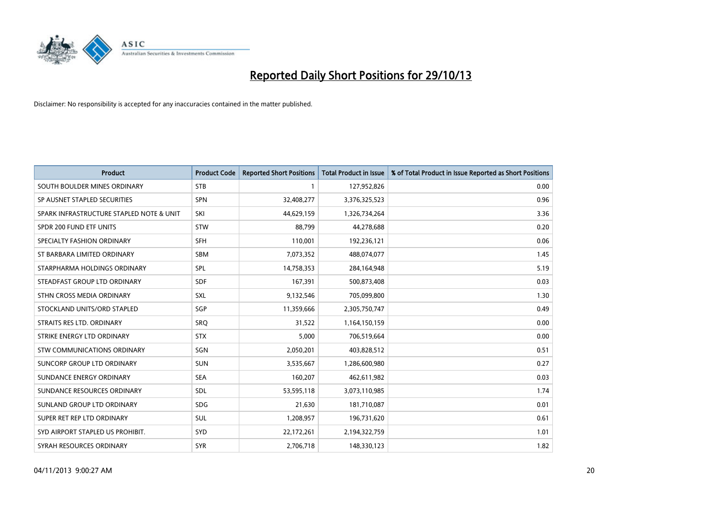

| <b>Product</b>                           | <b>Product Code</b> | <b>Reported Short Positions</b> | <b>Total Product in Issue</b> | % of Total Product in Issue Reported as Short Positions |
|------------------------------------------|---------------------|---------------------------------|-------------------------------|---------------------------------------------------------|
| SOUTH BOULDER MINES ORDINARY             | <b>STB</b>          | 1                               | 127,952,826                   | 0.00                                                    |
| SP AUSNET STAPLED SECURITIES             | <b>SPN</b>          | 32,408,277                      | 3,376,325,523                 | 0.96                                                    |
| SPARK INFRASTRUCTURE STAPLED NOTE & UNIT | SKI                 | 44,629,159                      | 1,326,734,264                 | 3.36                                                    |
| SPDR 200 FUND ETF UNITS                  | <b>STW</b>          | 88,799                          | 44,278,688                    | 0.20                                                    |
| SPECIALTY FASHION ORDINARY               | <b>SFH</b>          | 110,001                         | 192,236,121                   | 0.06                                                    |
| ST BARBARA LIMITED ORDINARY              | <b>SBM</b>          | 7,073,352                       | 488,074,077                   | 1.45                                                    |
| STARPHARMA HOLDINGS ORDINARY             | SPL                 | 14,758,353                      | 284,164,948                   | 5.19                                                    |
| STEADFAST GROUP LTD ORDINARY             | <b>SDF</b>          | 167,391                         | 500,873,408                   | 0.03                                                    |
| STHN CROSS MEDIA ORDINARY                | <b>SXL</b>          | 9,132,546                       | 705,099,800                   | 1.30                                                    |
| STOCKLAND UNITS/ORD STAPLED              | SGP                 | 11,359,666                      | 2,305,750,747                 | 0.49                                                    |
| STRAITS RES LTD. ORDINARY                | SRQ                 | 31,522                          | 1,164,150,159                 | 0.00                                                    |
| STRIKE ENERGY LTD ORDINARY               | <b>STX</b>          | 5,000                           | 706,519,664                   | 0.00                                                    |
| STW COMMUNICATIONS ORDINARY              | SGN                 | 2,050,201                       | 403,828,512                   | 0.51                                                    |
| <b>SUNCORP GROUP LTD ORDINARY</b>        | <b>SUN</b>          | 3,535,667                       | 1,286,600,980                 | 0.27                                                    |
| SUNDANCE ENERGY ORDINARY                 | <b>SEA</b>          | 160,207                         | 462,611,982                   | 0.03                                                    |
| SUNDANCE RESOURCES ORDINARY              | SDL                 | 53,595,118                      | 3,073,110,985                 | 1.74                                                    |
| SUNLAND GROUP LTD ORDINARY               | <b>SDG</b>          | 21,630                          | 181,710,087                   | 0.01                                                    |
| SUPER RET REP LTD ORDINARY               | <b>SUL</b>          | 1,208,957                       | 196,731,620                   | 0.61                                                    |
| SYD AIRPORT STAPLED US PROHIBIT.         | SYD                 | 22,172,261                      | 2,194,322,759                 | 1.01                                                    |
| SYRAH RESOURCES ORDINARY                 | <b>SYR</b>          | 2,706,718                       | 148,330,123                   | 1.82                                                    |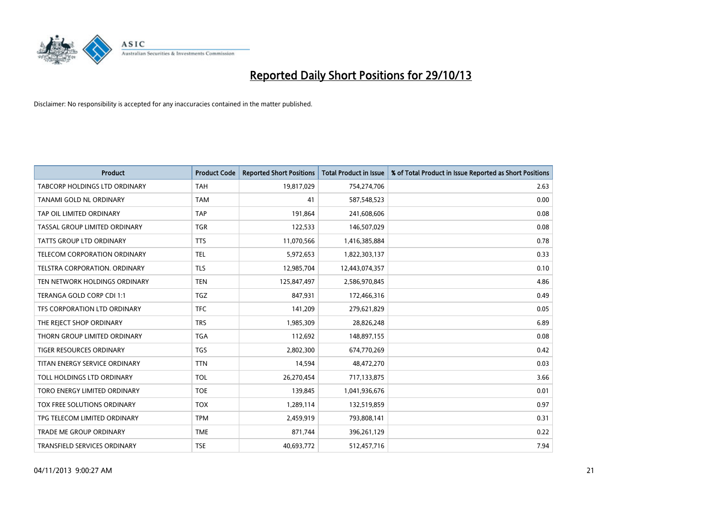

| <b>Product</b>                  | <b>Product Code</b> | <b>Reported Short Positions</b> | <b>Total Product in Issue</b> | % of Total Product in Issue Reported as Short Positions |
|---------------------------------|---------------------|---------------------------------|-------------------------------|---------------------------------------------------------|
| TABCORP HOLDINGS LTD ORDINARY   | <b>TAH</b>          | 19,817,029                      | 754,274,706                   | 2.63                                                    |
| TANAMI GOLD NL ORDINARY         | <b>TAM</b>          | 41                              | 587,548,523                   | 0.00                                                    |
| TAP OIL LIMITED ORDINARY        | <b>TAP</b>          | 191,864                         | 241,608,606                   | 0.08                                                    |
| TASSAL GROUP LIMITED ORDINARY   | <b>TGR</b>          | 122,533                         | 146,507,029                   | 0.08                                                    |
| <b>TATTS GROUP LTD ORDINARY</b> | <b>TTS</b>          | 11,070,566                      | 1,416,385,884                 | 0.78                                                    |
| TELECOM CORPORATION ORDINARY    | <b>TEL</b>          | 5,972,653                       | 1,822,303,137                 | 0.33                                                    |
| TELSTRA CORPORATION, ORDINARY   | <b>TLS</b>          | 12,985,704                      | 12,443,074,357                | 0.10                                                    |
| TEN NETWORK HOLDINGS ORDINARY   | <b>TEN</b>          | 125,847,497                     | 2,586,970,845                 | 4.86                                                    |
| TERANGA GOLD CORP CDI 1:1       | <b>TGZ</b>          | 847,931                         | 172,466,316                   | 0.49                                                    |
| TFS CORPORATION LTD ORDINARY    | <b>TFC</b>          | 141,209                         | 279,621,829                   | 0.05                                                    |
| THE REJECT SHOP ORDINARY        | <b>TRS</b>          | 1,985,309                       | 28,826,248                    | 6.89                                                    |
| THORN GROUP LIMITED ORDINARY    | <b>TGA</b>          | 112,692                         | 148,897,155                   | 0.08                                                    |
| TIGER RESOURCES ORDINARY        | TGS                 | 2,802,300                       | 674,770,269                   | 0.42                                                    |
| TITAN ENERGY SERVICE ORDINARY   | <b>TTN</b>          | 14,594                          | 48,472,270                    | 0.03                                                    |
| TOLL HOLDINGS LTD ORDINARY      | <b>TOL</b>          | 26,270,454                      | 717,133,875                   | 3.66                                                    |
| TORO ENERGY LIMITED ORDINARY    | <b>TOE</b>          | 139,845                         | 1,041,936,676                 | 0.01                                                    |
| TOX FREE SOLUTIONS ORDINARY     | <b>TOX</b>          | 1,289,114                       | 132,519,859                   | 0.97                                                    |
| TPG TELECOM LIMITED ORDINARY    | <b>TPM</b>          | 2,459,919                       | 793,808,141                   | 0.31                                                    |
| <b>TRADE ME GROUP ORDINARY</b>  | <b>TME</b>          | 871,744                         | 396,261,129                   | 0.22                                                    |
| TRANSFIELD SERVICES ORDINARY    | <b>TSE</b>          | 40,693,772                      | 512,457,716                   | 7.94                                                    |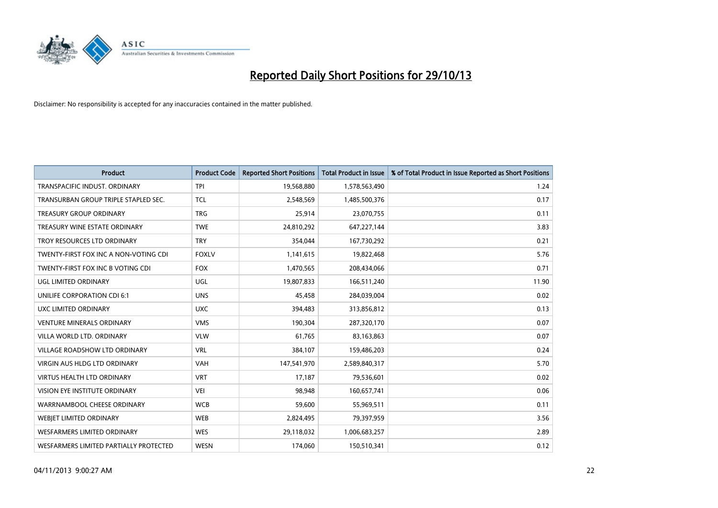

| <b>Product</b>                         | <b>Product Code</b> | <b>Reported Short Positions</b> | <b>Total Product in Issue</b> | % of Total Product in Issue Reported as Short Positions |
|----------------------------------------|---------------------|---------------------------------|-------------------------------|---------------------------------------------------------|
| TRANSPACIFIC INDUST, ORDINARY          | <b>TPI</b>          | 19,568,880                      | 1,578,563,490                 | 1.24                                                    |
| TRANSURBAN GROUP TRIPLE STAPLED SEC.   | <b>TCL</b>          | 2,548,569                       | 1,485,500,376                 | 0.17                                                    |
| <b>TREASURY GROUP ORDINARY</b>         | <b>TRG</b>          | 25,914                          | 23,070,755                    | 0.11                                                    |
| TREASURY WINE ESTATE ORDINARY          | <b>TWE</b>          | 24,810,292                      | 647,227,144                   | 3.83                                                    |
| TROY RESOURCES LTD ORDINARY            | <b>TRY</b>          | 354,044                         | 167,730,292                   | 0.21                                                    |
| TWENTY-FIRST FOX INC A NON-VOTING CDI  | <b>FOXLV</b>        | 1,141,615                       | 19,822,468                    | 5.76                                                    |
| TWENTY-FIRST FOX INC B VOTING CDI      | <b>FOX</b>          | 1,470,565                       | 208,434,066                   | 0.71                                                    |
| UGL LIMITED ORDINARY                   | UGL                 | 19,807,833                      | 166,511,240                   | 11.90                                                   |
| UNILIFE CORPORATION CDI 6:1            | <b>UNS</b>          | 45,458                          | 284,039,004                   | 0.02                                                    |
| <b>UXC LIMITED ORDINARY</b>            | <b>UXC</b>          | 394,483                         | 313,856,812                   | 0.13                                                    |
| <b>VENTURE MINERALS ORDINARY</b>       | <b>VMS</b>          | 190,304                         | 287,320,170                   | 0.07                                                    |
| VILLA WORLD LTD, ORDINARY              | <b>VLW</b>          | 61,765                          | 83,163,863                    | 0.07                                                    |
| <b>VILLAGE ROADSHOW LTD ORDINARY</b>   | <b>VRL</b>          | 384.107                         | 159,486,203                   | 0.24                                                    |
| <b>VIRGIN AUS HLDG LTD ORDINARY</b>    | <b>VAH</b>          | 147,541,970                     | 2,589,840,317                 | 5.70                                                    |
| <b>VIRTUS HEALTH LTD ORDINARY</b>      | <b>VRT</b>          | 17,187                          | 79,536,601                    | 0.02                                                    |
| VISION EYE INSTITUTE ORDINARY          | <b>VEI</b>          | 98.948                          | 160,657,741                   | 0.06                                                    |
| WARRNAMBOOL CHEESE ORDINARY            | <b>WCB</b>          | 59,600                          | 55,969,511                    | 0.11                                                    |
| WEBIET LIMITED ORDINARY                | <b>WEB</b>          | 2,824,495                       | 79,397,959                    | 3.56                                                    |
| <b>WESFARMERS LIMITED ORDINARY</b>     | <b>WES</b>          | 29,118,032                      | 1,006,683,257                 | 2.89                                                    |
| WESFARMERS LIMITED PARTIALLY PROTECTED | <b>WESN</b>         | 174.060                         | 150,510,341                   | 0.12                                                    |